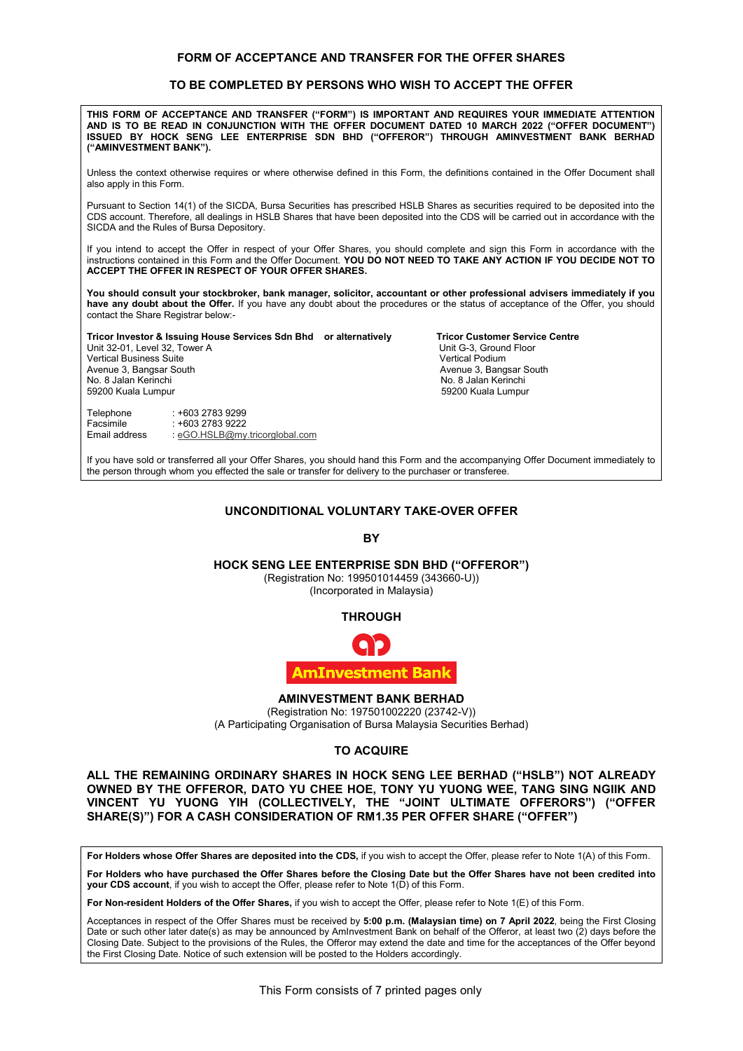#### **FORM OF ACCEPTANCE AND TRANSFER FOR THE OFFER SHARES**

# **TO BE COMPLETED BY PERSONS WHO WISH TO ACCEPT THE OFFER FORM OF ACCEPTANCE AND TRANSFER FOR THE OFFER SHARES TO BE COMPLETED BY PERSONS WHO WISH TO ACCEPT THE OFFER**

| THIS FORM OF ACCEPTANCE AND TRANSFER ("FORM") IS IMPORTANT AND REQUIRES YOUR IMMEDIATE ATTENTION<br>AND IS TO BE READ IN CONJUNCTION WITH THE OFFER DOCUMENT DATED 10 MARCH 2022 ("OFFER DOCUMENT")<br>ISSUED BY HOCK SENG LEE ENTERPRISE SDN BHD ("OFFEROR") THROUGH AMINVESTMENT BANK BERHAD<br>("AMINVESTMENT BANK").  |                                                                              |                                                                                                                                                                    |
|---------------------------------------------------------------------------------------------------------------------------------------------------------------------------------------------------------------------------------------------------------------------------------------------------------------------------|------------------------------------------------------------------------------|--------------------------------------------------------------------------------------------------------------------------------------------------------------------|
| Unless the context otherwise requires or where otherwise defined in this Form, the definitions contained in the Offer Document shall<br>also apply in this Form.                                                                                                                                                          |                                                                              |                                                                                                                                                                    |
| Pursuant to Section 14(1) of the SICDA, Bursa Securities has prescribed HSLB Shares as securities required to be deposited into the<br>CDS account. Therefore, all dealings in HSLB Shares that have been deposited into the CDS will be carried out in accordance with the<br>SICDA and the Rules of Bursa Depository.   |                                                                              |                                                                                                                                                                    |
| If you intend to accept the Offer in respect of your Offer Shares, you should complete and sign this Form in accordance with the<br>instructions contained in this Form and the Offer Document. YOU DO NOT NEED TO TAKE ANY ACTION IF YOU DECIDE NOT TO<br>ACCEPT THE OFFER IN RESPECT OF YOUR OFFER SHARES.              |                                                                              |                                                                                                                                                                    |
| You should consult your stockbroker, bank manager, solicitor, accountant or other professional advisers immediately if you<br>have any doubt about the Offer. If you have any doubt about the procedures or the status of acceptance of the Offer, you should<br>contact the Share Registrar below:-                      |                                                                              |                                                                                                                                                                    |
| Tricor Investor & Issuing House Services Sdn Bhd or alternatively<br>Unit 32-01, Level 32, Tower A<br><b>Vertical Business Suite</b><br>Avenue 3, Bangsar South<br>No. 8 Jalan Kerinchi<br>59200 Kuala Lumpur                                                                                                             |                                                                              | <b>Tricor Customer Service Centre</b><br>Unit G-3, Ground Floor<br><b>Vertical Podium</b><br>Avenue 3, Bangsar South<br>No. 8 Jalan Kerinchi<br>59200 Kuala Lumpur |
| : +603 2783 9299<br>Telephone<br>Facsimile<br>: +603 2783 9222<br>Email address<br>: eGO.HSLB@my.tricorglobal.com                                                                                                                                                                                                         |                                                                              |                                                                                                                                                                    |
| If you have sold or transferred all your Offer Shares, you should hand this Form and the accompanying Offer Document immediately to<br>the person through whom you effected the sale or transfer for delivery to the purchaser or transferee.                                                                             |                                                                              |                                                                                                                                                                    |
|                                                                                                                                                                                                                                                                                                                           | UNCONDITIONAL VOLUNTARY TAKE-OVER OFFER                                      |                                                                                                                                                                    |
|                                                                                                                                                                                                                                                                                                                           | BY                                                                           |                                                                                                                                                                    |
| <b>HOCK SENG LEE ENTERPRISE SDN BHD ("OFFEROR")</b>                                                                                                                                                                                                                                                                       | (Registration No: 199501014459 (343660-U))<br>(Incorporated in Malaysia)     |                                                                                                                                                                    |
|                                                                                                                                                                                                                                                                                                                           | <b>THROUGH</b>                                                               |                                                                                                                                                                    |
|                                                                                                                                                                                                                                                                                                                           |                                                                              |                                                                                                                                                                    |
|                                                                                                                                                                                                                                                                                                                           | <b>AmInvestment Bank</b>                                                     |                                                                                                                                                                    |
| (A Participating Organisation of Bursa Malaysia Securities Berhad)                                                                                                                                                                                                                                                        | <b>AMINVESTMENT BANK BERHAD</b><br>(Registration No: 197501002220 (23742-V)) |                                                                                                                                                                    |
|                                                                                                                                                                                                                                                                                                                           | <b>TO ACQUIRE</b>                                                            |                                                                                                                                                                    |
| ALL THE REMAINING ORDINARY SHARES IN HOCK SENG LEE BERHAD ("HSLB") NOT ALREADY<br>OWNED BY THE OFFEROR, DATO YU CHEE HOE, TONY YU YUONG WEE, TANG SING NGIIK AND<br>VINCENT YU YUONG YIH (COLLECTIVELY, THE "JOINT ULTIMATE OFFERORS") ("OFFER<br>SHARE(S)") FOR A CASH CONSIDERATION OF RM1.35 PER OFFER SHARE ("OFFER") |                                                                              |                                                                                                                                                                    |



For Holders whose Offer Shares are deposited into the CDS, if you wish to accept the Offer, please refer to Note 1(A) of this Form.

For Holders who have purchased the Offer Shares before the Closing Date but the Offer Shares have not been credited into **your CDS account**, if you wish to accept the Offer, please refer to Note 1(D) of this Form. **your CDS account**, if you wish to accept the Offer, please refer to Note 1(D) of this Form.

**For Non-resident Holders of the Offer Shares,** if you wish to accept the Offer, please refer to Note 1(E) of this Form.

Acceptances in respect of the Offer Shares must be received by **5:00 p.m. (Malaysian time) on 7 April 2022**, being the First Closing Acceptances in respect of the Offer Shares must be received by **5:00 p.m. (Malaysian time) on 7 April 2022**, being the First Closing<br>Date or such other later date(s) as may be announced by Amlnvestment Bank on behalf of th Closing Date. Subject to the provisions of the Rules, the Offeror may extend the date and time for the acceptances of the Offer beyond<br>the First Closing Date. Notice of such extension will be posted to the Holders accordin the First Closing Date. Notice of such extension will be posted to the Holders accordingly.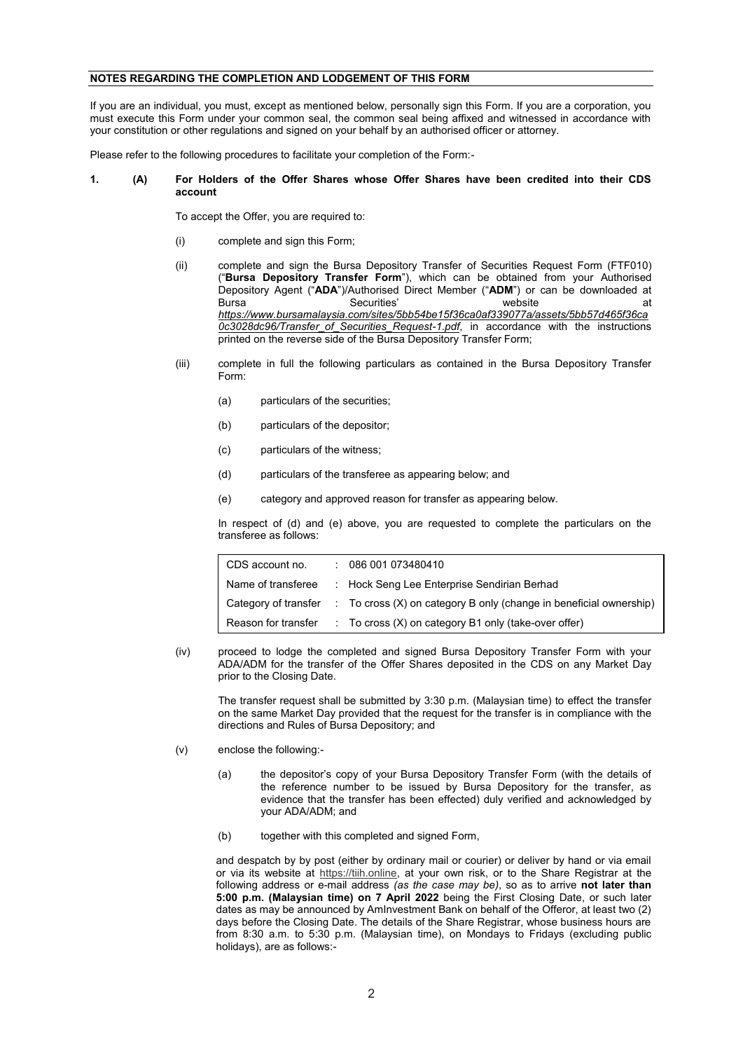## **NOTES REGARDING THE COMPLETION AND LODGEMENT OF THIS FORM**

If you are an individual, you must, except as mentioned below, personally sign this Form. If you are a corporation, you must execute this Form under your common seal, the common seal being affixed and witnessed in accordance with your constitution or other regulations and signed on your behalf by an authorised officer or attorney.

Please refer to the following procedures to facilitate your completion of the Form:-

#### **1. (A) For Holders of the Offer Shares whose Offer Shares have been credited into their CDS account**

To accept the Offer, you are required to:

- (i) complete and sign this Form;
- (ii) complete and sign the Bursa Depository Transfer of Securities Request Form (FTF010) ("**Bursa Depository Transfer Form**"), which can be obtained from your Authorised Depository Agent ("**ADA**")/Authorised Direct Member ("**ADM**") or can be downloaded at Bursa Securities' website at *https://www.bursamalaysia.com/sites/5bb54be15f36ca0af339077a/assets/5bb57d465f36ca 0c3028dc96/Transfer\_of\_Securities\_Request-1.pdf*, in accordance with the instructions printed on the reverse side of the Bursa Depository Transfer Form;
- (iii) complete in full the following particulars as contained in the Bursa Depository Transfer Form:
	- (a) particulars of the securities;
	- (b) particulars of the depositor;
	- (c) particulars of the witness;
	- (d) particulars of the transferee as appearing below; and
	- (e) category and approved reason for transfer as appearing below.

In respect of (d) and (e) above, you are requested to complete the particulars on the transferee as follows:

| CDS account no.     | : 086001073480410                                                                                    |
|---------------------|------------------------------------------------------------------------------------------------------|
| Name of transferee  | : Hock Seng Lee Enterprise Sendirian Berhad                                                          |
|                     | Category of transfer $\therefore$ To cross $(X)$ on category B only (change in beneficial ownership) |
| Reason for transfer | $\therefore$ To cross (X) on category B1 only (take-over offer)                                      |

(iv) proceed to lodge the completed and signed Bursa Depository Transfer Form with your ADA/ADM for the transfer of the Offer Shares deposited in the CDS on any Market Day prior to the Closing Date.

The transfer request shall be submitted by 3:30 p.m. (Malaysian time) to effect the transfer on the same Market Day provided that the request for the transfer is in compliance with the directions and Rules of Bursa Depository; and

- (v) enclose the following:-
	- (a) the depositor's copy of your Bursa Depository Transfer Form (with the details of the reference number to be issued by Bursa Depository for the transfer, as evidence that the transfer has been effected) duly verified and acknowledged by your ADA/ADM; and
	- (b) together with this completed and signed Form,

and despatch by by post (either by ordinary mail or courier) or deliver by hand or via email or via its website at https://tiih.online, at your own risk, or to the Share Registrar at the following address or e-mail address *(as the case may be)*, so as to arrive **not later than 5:00 p.m. (Malaysian time) on 7 April 2022** being the First Closing Date, or such later dates as may be announced by AmInvestment Bank on behalf of the Offeror, at least two (2) days before the Closing Date. The details of the Share Registrar, whose business hours are from 8:30 a.m. to 5:30 p.m. (Malaysian time), on Mondays to Fridays (excluding public holidays), are as follows:-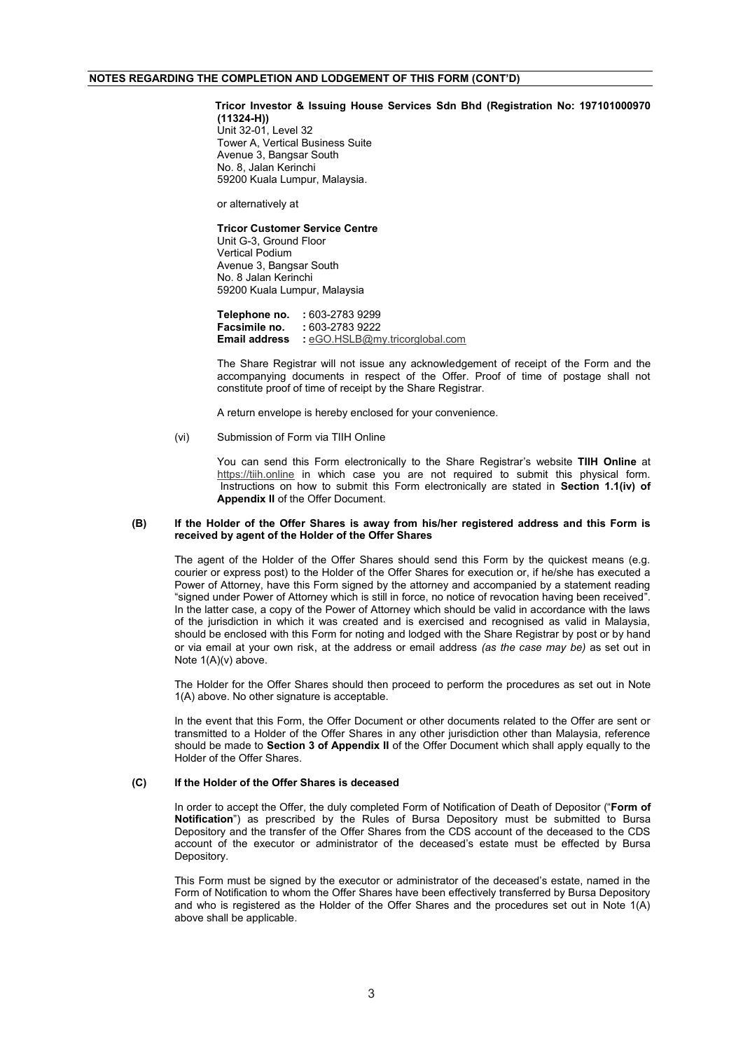### **NOTES REGARDING THE COMPLETION AND LODGEMENT OF THIS FORM (CONT'D)**

#### **Tricor Investor & Issuing House Services Sdn Bhd (Registration No: 197101000970 (11324-H))**

Unit 32-01, Level 32 Tower A, Vertical Business Suite Avenue 3, Bangsar South No. 8, Jalan Kerinchi 59200 Kuala Lumpur, Malaysia.

or alternatively at

#### **Tricor Customer Service Centre**

Unit G-3, Ground Floor Vertical Podium Avenue 3, Bangsar South No. 8 Jalan Kerinchi 59200 Kuala Lumpur, Malaysia

**Telephone no.** : 603-2783 9299<br>**Facsimile no.** : 603-2783 9222 **Facsimile no. :** 603-2783 9222 **Email address :** eGO.HSLB@my.tricorglobal.com

The Share Registrar will not issue any acknowledgement of receipt of the Form and the accompanying documents in respect of the Offer. Proof of time of postage shall not constitute proof of time of receipt by the Share Registrar.

A return envelope is hereby enclosed for your convenience.

#### (vi) Submission of Form via TIIH Online

You can send this Form electronically to the Share Registrar's website **TIIH Online** at https://tiih.online in which case you are not required to submit this physical form. Instructions on how to submit this Form electronically are stated in **Section 1.1(iv) of Appendix II** of the Offer Document.

#### **(B) If the Holder of the Offer Shares is away from his/her registered address and this Form is received by agent of the Holder of the Offer Shares**

The agent of the Holder of the Offer Shares should send this Form by the quickest means (e.g. courier or express post) to the Holder of the Offer Shares for execution or, if he/she has executed a Power of Attorney, have this Form signed by the attorney and accompanied by a statement reading "signed under Power of Attorney which is still in force, no notice of revocation having been received". In the latter case, a copy of the Power of Attorney which should be valid in accordance with the laws of the jurisdiction in which it was created and is exercised and recognised as valid in Malaysia, should be enclosed with this Form for noting and lodged with the Share Registrar by post or by hand or via email at your own risk, at the address or email address *(as the case may be)* as set out in Note 1(A)(v) above.

The Holder for the Offer Shares should then proceed to perform the procedures as set out in Note 1(A) above. No other signature is acceptable.

In the event that this Form, the Offer Document or other documents related to the Offer are sent or transmitted to a Holder of the Offer Shares in any other jurisdiction other than Malaysia, reference should be made to **Section 3 of Appendix II** of the Offer Document which shall apply equally to the Holder of the Offer Shares.

#### **(C) If the Holder of the Offer Shares is deceased**

In order to accept the Offer, the duly completed Form of Notification of Death of Depositor ("**Form of Notification**") as prescribed by the Rules of Bursa Depository must be submitted to Bursa Depository and the transfer of the Offer Shares from the CDS account of the deceased to the CDS account of the executor or administrator of the deceased's estate must be effected by Bursa **Depository** 

This Form must be signed by the executor or administrator of the deceased's estate, named in the Form of Notification to whom the Offer Shares have been effectively transferred by Bursa Depository and who is registered as the Holder of the Offer Shares and the procedures set out in Note 1(A) above shall be applicable.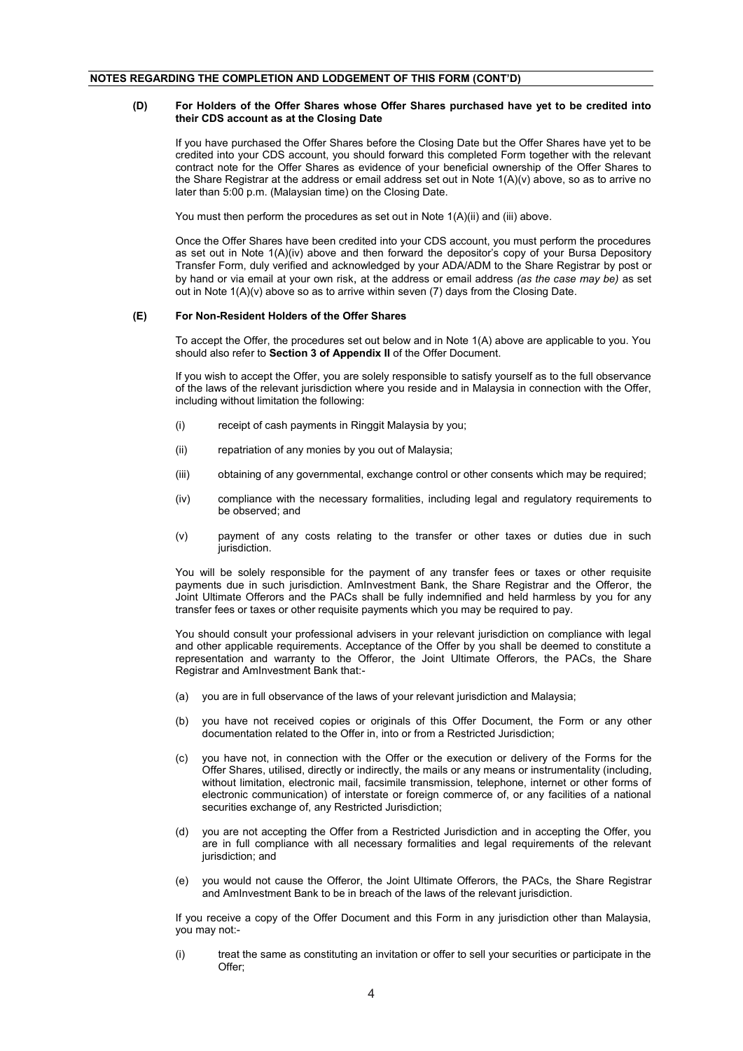#### **(D) For Holders of the Offer Shares whose Offer Shares purchased have yet to be credited into their CDS account as at the Closing Date**

If you have purchased the Offer Shares before the Closing Date but the Offer Shares have yet to be credited into your CDS account, you should forward this completed Form together with the relevant contract note for the Offer Shares as evidence of your beneficial ownership of the Offer Shares to the Share Registrar at the address or email address set out in Note 1(A)(v) above, so as to arrive no later than 5:00 p.m. (Malaysian time) on the Closing Date.

You must then perform the procedures as set out in Note 1(A)(ii) and (iii) above.

Once the Offer Shares have been credited into your CDS account, you must perform the procedures as set out in Note 1(A)(iv) above and then forward the depositor's copy of your Bursa Depository Transfer Form, duly verified and acknowledged by your ADA/ADM to the Share Registrar by post or by hand or via email at your own risk, at the address or email address *(as the case may be)* as set out in Note 1(A)(v) above so as to arrive within seven (7) days from the Closing Date.

#### **(E) For Non-Resident Holders of the Offer Shares**

To accept the Offer, the procedures set out below and in Note 1(A) above are applicable to you. You should also refer to **Section 3 of Appendix II** of the Offer Document.

If you wish to accept the Offer, you are solely responsible to satisfy yourself as to the full observance of the laws of the relevant jurisdiction where you reside and in Malaysia in connection with the Offer, including without limitation the following:

- (i) receipt of cash payments in Ringgit Malaysia by you;
- (ii) repatriation of any monies by you out of Malaysia;
- (iii) obtaining of any governmental, exchange control or other consents which may be required;
- (iv) compliance with the necessary formalities, including legal and regulatory requirements to be observed; and
- (v) payment of any costs relating to the transfer or other taxes or duties due in such jurisdiction.

You will be solely responsible for the payment of any transfer fees or taxes or other requisite payments due in such jurisdiction. AmInvestment Bank, the Share Registrar and the Offeror, the Joint Ultimate Offerors and the PACs shall be fully indemnified and held harmless by you for any transfer fees or taxes or other requisite payments which you may be required to pay.

You should consult your professional advisers in your relevant jurisdiction on compliance with legal and other applicable requirements. Acceptance of the Offer by you shall be deemed to constitute a representation and warranty to the Offeror, the Joint Ultimate Offerors, the PACs, the Share Registrar and AmInvestment Bank that:-

- (a) you are in full observance of the laws of your relevant jurisdiction and Malaysia;
- (b) you have not received copies or originals of this Offer Document, the Form or any other documentation related to the Offer in, into or from a Restricted Jurisdiction;
- (c) you have not, in connection with the Offer or the execution or delivery of the Forms for the Offer Shares, utilised, directly or indirectly, the mails or any means or instrumentality (including, without limitation, electronic mail, facsimile transmission, telephone, internet or other forms of electronic communication) of interstate or foreign commerce of, or any facilities of a national securities exchange of, any Restricted Jurisdiction;
- (d) you are not accepting the Offer from a Restricted Jurisdiction and in accepting the Offer, you are in full compliance with all necessary formalities and legal requirements of the relevant jurisdiction; and
- (e) you would not cause the Offeror, the Joint Ultimate Offerors, the PACs, the Share Registrar and AmInvestment Bank to be in breach of the laws of the relevant jurisdiction.

If you receive a copy of the Offer Document and this Form in any jurisdiction other than Malaysia, you may not:-

(i) treat the same as constituting an invitation or offer to sell your securities or participate in the Offer;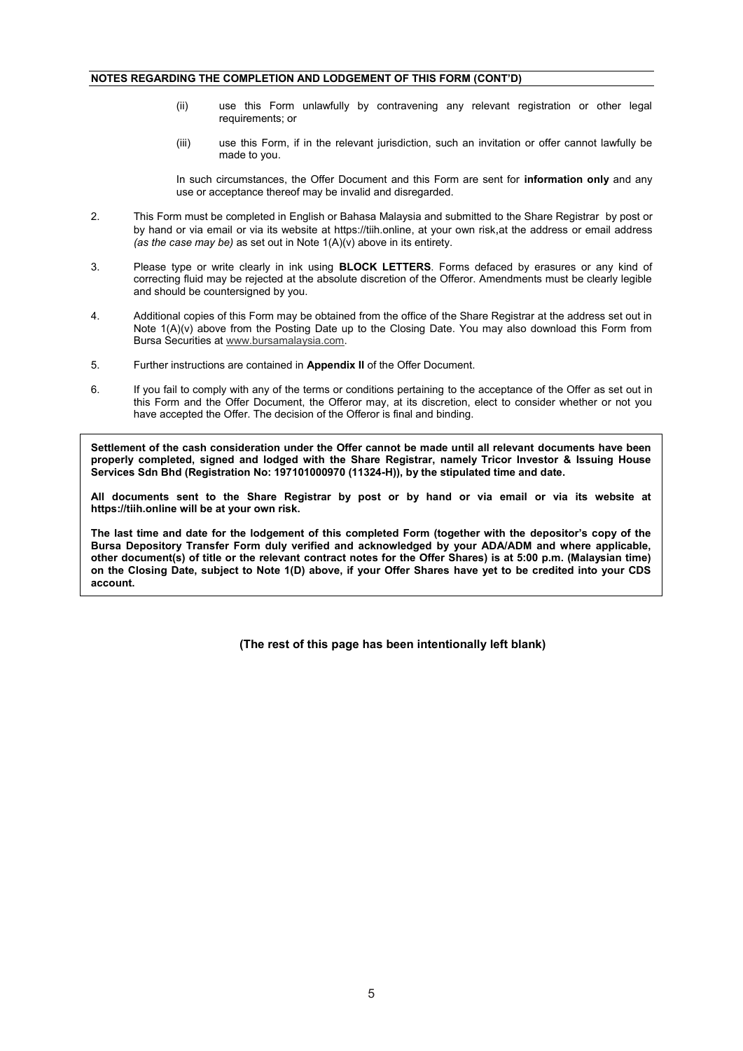## **NOTES REGARDING THE COMPLETION AND LODGEMENT OF THIS FORM (CONT'D)**

- (ii) use this Form unlawfully by contravening any relevant registration or other legal requirements; or
- (iii) use this Form, if in the relevant jurisdiction, such an invitation or offer cannot lawfully be made to you.

In such circumstances, the Offer Document and this Form are sent for **information only** and any use or acceptance thereof may be invalid and disregarded.

- 2. This Form must be completed in English or Bahasa Malaysia and submitted to the Share Registrar by post or by hand or via email or via its website at https://tiih.online, at your own risk,at the address or email address *(as the case may be)* as set out in Note 1(A)(v) above in its entirety.
- 3. Please type or write clearly in ink using **BLOCK LETTERS**. Forms defaced by erasures or any kind of correcting fluid may be rejected at the absolute discretion of the Offeror. Amendments must be clearly legible and should be countersigned by you.
- 4. Additional copies of this Form may be obtained from the office of the Share Registrar at the address set out in Note 1(A)(v) above from the Posting Date up to the Closing Date. You may also download this Form from Bursa Securities at www.bursamalaysia.com.
- 5. Further instructions are contained in **Appendix II** of the Offer Document.
- 6. If you fail to comply with any of the terms or conditions pertaining to the acceptance of the Offer as set out in this Form and the Offer Document, the Offeror may, at its discretion, elect to consider whether or not you have accepted the Offer. The decision of the Offeror is final and binding.

**Settlement of the cash consideration under the Offer cannot be made until all relevant documents have been properly completed, signed and lodged with the Share Registrar, namely Tricor Investor & Issuing House Services Sdn Bhd (Registration No: 197101000970 (11324-H)), by the stipulated time and date.**

**All documents sent to the Share Registrar by post or by hand or via email or via its website at https://tiih.online will be at your own risk.**

**The last time and date for the lodgement of this completed Form (together with the depositor's copy of the Bursa Depository Transfer Form duly verified and acknowledged by your ADA/ADM and where applicable, other document(s) of title or the relevant contract notes for the Offer Shares) is at 5:00 p.m. (Malaysian time) on the Closing Date, subject to Note 1(D) above, if your Offer Shares have yet to be credited into your CDS account.** 

**(The rest of this page has been intentionally left blank)**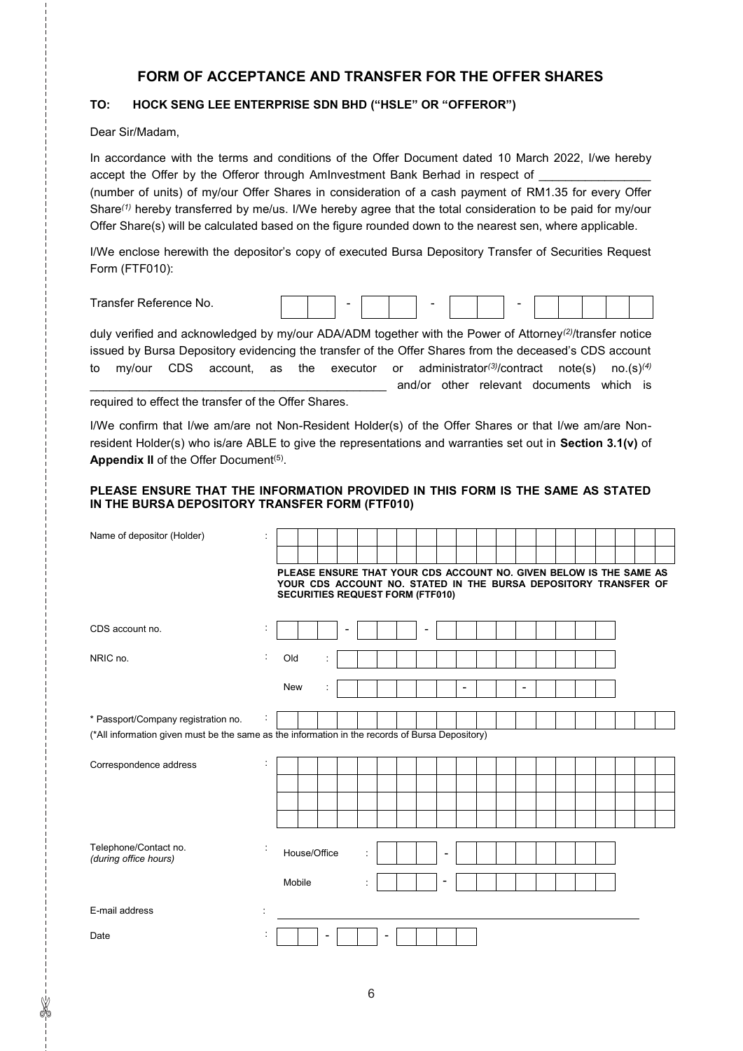# **FORM OF ACCEPTANCE AND TRANSFER FOR THE OFFER SHARES**

# **TO: HOCK SENG LEE ENTERPRISE SDN BHD ("HSLE" OR "OFFEROR")**

Dear Sir/Madam,

✄

In accordance with the terms and conditions of the Offer Document dated 10 March 2022, I/we hereby accept the Offer by the Offeror through AmInvestment Bank Berhad in respect of

(number of units) of my/our Offer Shares in consideration of a cash payment of RM1.35 for every Offer Share*(1)* hereby transferred by me/us. I/We hereby agree that the total consideration to be paid for my/our Offer Share(s) will be calculated based on the figure rounded down to the nearest sen, where applicable.

I/We enclose herewith the depositor's copy of executed Bursa Depository Transfer of Securities Request Form (FTF010):

| $\overline{\phantom{0}}$<br>r<br>∩e No.<br>. |  |  | - |  |  |  |  |  |  |  |  |  |  |  |
|----------------------------------------------|--|--|---|--|--|--|--|--|--|--|--|--|--|--|
|----------------------------------------------|--|--|---|--|--|--|--|--|--|--|--|--|--|--|

duly verified and acknowledged by my/our ADA/ADM together with the Power of Attorney*(2)*/transfer notice issued by Bursa Depository evidencing the transfer of the Offer Shares from the deceased's CDS account to my/our CDS account, as the executor or administrator*(3)*/contract note(s) no.(s)*(4)* \_\_\_\_\_\_\_ and/or other relevant documents which is

required to effect the transfer of the Offer Shares.

I/We confirm that I/we am/are not Non-Resident Holder(s) of the Offer Shares or that I/we am/are Nonresident Holder(s) who is/are ABLE to give the representations and warranties set out in **Section 3.1(v)** of **Appendix II** of the Offer Document<sup>(5)</sup>.

## **PLEASE ENSURE THAT THE INFORMATION PROVIDED IN THIS FORM IS THE SAME AS STATED IN THE BURSA DEPOSITORY TRANSFER FORM (FTF010)**

| Name of depositor (Holder)                                                                      |                         |                                                                                                                                       |  |              |  |  |  |  |  |                |                          |  |                          |  |  |  |  |
|-------------------------------------------------------------------------------------------------|-------------------------|---------------------------------------------------------------------------------------------------------------------------------------|--|--------------|--|--|--|--|--|----------------|--------------------------|--|--------------------------|--|--|--|--|
|                                                                                                 |                         |                                                                                                                                       |  |              |  |  |  |  |  |                |                          |  |                          |  |  |  |  |
|                                                                                                 |                         | PLEASE ENSURE THAT YOUR CDS ACCOUNT NO. GIVEN BELOW IS THE SAME AS<br>YOUR CDS ACCOUNT NO. STATED IN THE BURSA DEPOSITORY TRANSFER OF |  |              |  |  |  |  |  |                |                          |  |                          |  |  |  |  |
|                                                                                                 |                         | <b>SECURITIES REQUEST FORM (FTF010)</b>                                                                                               |  |              |  |  |  |  |  |                |                          |  |                          |  |  |  |  |
|                                                                                                 |                         |                                                                                                                                       |  |              |  |  |  |  |  |                |                          |  |                          |  |  |  |  |
| CDS account no.                                                                                 |                         |                                                                                                                                       |  |              |  |  |  |  |  |                |                          |  |                          |  |  |  |  |
| NRIC no.                                                                                        | ÷                       | Old                                                                                                                                   |  | ÷            |  |  |  |  |  |                |                          |  |                          |  |  |  |  |
|                                                                                                 |                         | <b>New</b>                                                                                                                            |  |              |  |  |  |  |  |                |                          |  |                          |  |  |  |  |
|                                                                                                 |                         |                                                                                                                                       |  |              |  |  |  |  |  |                | $\overline{\phantom{a}}$ |  | $\overline{\phantom{a}}$ |  |  |  |  |
| * Passport/Company registration no.                                                             |                         |                                                                                                                                       |  |              |  |  |  |  |  |                |                          |  |                          |  |  |  |  |
| (*All information given must be the same as the information in the records of Bursa Depository) |                         |                                                                                                                                       |  |              |  |  |  |  |  |                |                          |  |                          |  |  |  |  |
| Correspondence address                                                                          | $\cdot$<br>$\mathbf{r}$ |                                                                                                                                       |  |              |  |  |  |  |  |                |                          |  |                          |  |  |  |  |
|                                                                                                 |                         |                                                                                                                                       |  |              |  |  |  |  |  |                |                          |  |                          |  |  |  |  |
|                                                                                                 |                         |                                                                                                                                       |  |              |  |  |  |  |  |                |                          |  |                          |  |  |  |  |
|                                                                                                 |                         |                                                                                                                                       |  |              |  |  |  |  |  |                |                          |  |                          |  |  |  |  |
|                                                                                                 |                         |                                                                                                                                       |  |              |  |  |  |  |  |                |                          |  |                          |  |  |  |  |
| Telephone/Contact no.<br>(during office hours)                                                  | ÷                       |                                                                                                                                       |  | House/Office |  |  |  |  |  | $\overline{a}$ |                          |  |                          |  |  |  |  |
|                                                                                                 |                         |                                                                                                                                       |  |              |  |  |  |  |  |                |                          |  |                          |  |  |  |  |
|                                                                                                 |                         | Mobile                                                                                                                                |  |              |  |  |  |  |  |                |                          |  |                          |  |  |  |  |
| E-mail address                                                                                  |                         |                                                                                                                                       |  |              |  |  |  |  |  |                |                          |  |                          |  |  |  |  |
| Date                                                                                            |                         |                                                                                                                                       |  | -            |  |  |  |  |  |                |                          |  |                          |  |  |  |  |